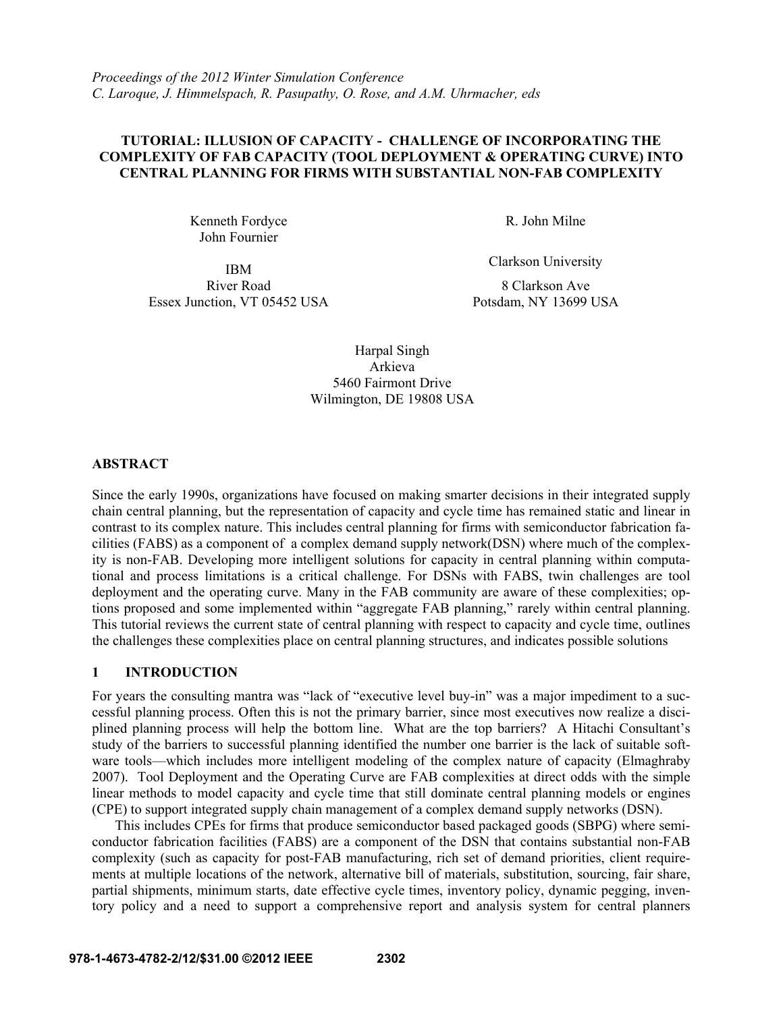*Proceedings of the 2012 Winter Simulation Conference C. Laroque, J. Himmelspach, R. Pasupathy, O. Rose, and A.M. Uhrmacher, eds* 

### **TUTORIAL: ILLUSION OF CAPACITY - CHALLENGE OF INCORPORATING THE COMPLEXITY OF FAB CAPACITY (TOOL DEPLOYMENT & OPERATING CURVE) INTO CENTRAL PLANNING FOR FIRMS WITH SUBSTANTIAL NON-FAB COMPLEXITY**

Kenneth Fordyce R. John Milne John Fournier

River Road 8 Clarkson Ave Essex Junction, VT 05452 USA Potsdam, NY 13699 USA

IBM Clarkson University

Harpal Singh Arkieva 5460 Fairmont Drive Wilmington, DE 19808 USA

### **ABSTRACT**

Since the early 1990s, organizations have focused on making smarter decisions in their integrated supply chain central planning, but the representation of capacity and cycle time has remained static and linear in contrast to its complex nature. This includes central planning for firms with semiconductor fabrication facilities (FABS) as a component of a complex demand supply network(DSN) where much of the complexity is non-FAB. Developing more intelligent solutions for capacity in central planning within computational and process limitations is a critical challenge. For DSNs with FABS, twin challenges are tool deployment and the operating curve. Many in the FAB community are aware of these complexities; options proposed and some implemented within "aggregate FAB planning," rarely within central planning. This tutorial reviews the current state of central planning with respect to capacity and cycle time, outlines the challenges these complexities place on central planning structures, and indicates possible solutions

#### **1 INTRODUCTION**

For years the consulting mantra was "lack of "executive level buy-in" was a major impediment to a successful planning process. Often this is not the primary barrier, since most executives now realize a disciplined planning process will help the bottom line. What are the top barriers? A Hitachi Consultant's study of the barriers to successful planning identified the number one barrier is the lack of suitable software tools—which includes more intelligent modeling of the complex nature of capacity (Elmaghraby 2007). Tool Deployment and the Operating Curve are FAB complexities at direct odds with the simple linear methods to model capacity and cycle time that still dominate central planning models or engines (CPE) to support integrated supply chain management of a complex demand supply networks (DSN).

This includes CPEs for firms that produce semiconductor based packaged goods (SBPG) where semiconductor fabrication facilities (FABS) are a component of the DSN that contains substantial non-FAB complexity (such as capacity for post-FAB manufacturing, rich set of demand priorities, client requirements at multiple locations of the network, alternative bill of materials, substitution, sourcing, fair share, partial shipments, minimum starts, date effective cycle times, inventory policy, dynamic pegging, inventory policy and a need to support a comprehensive report and analysis system for central planners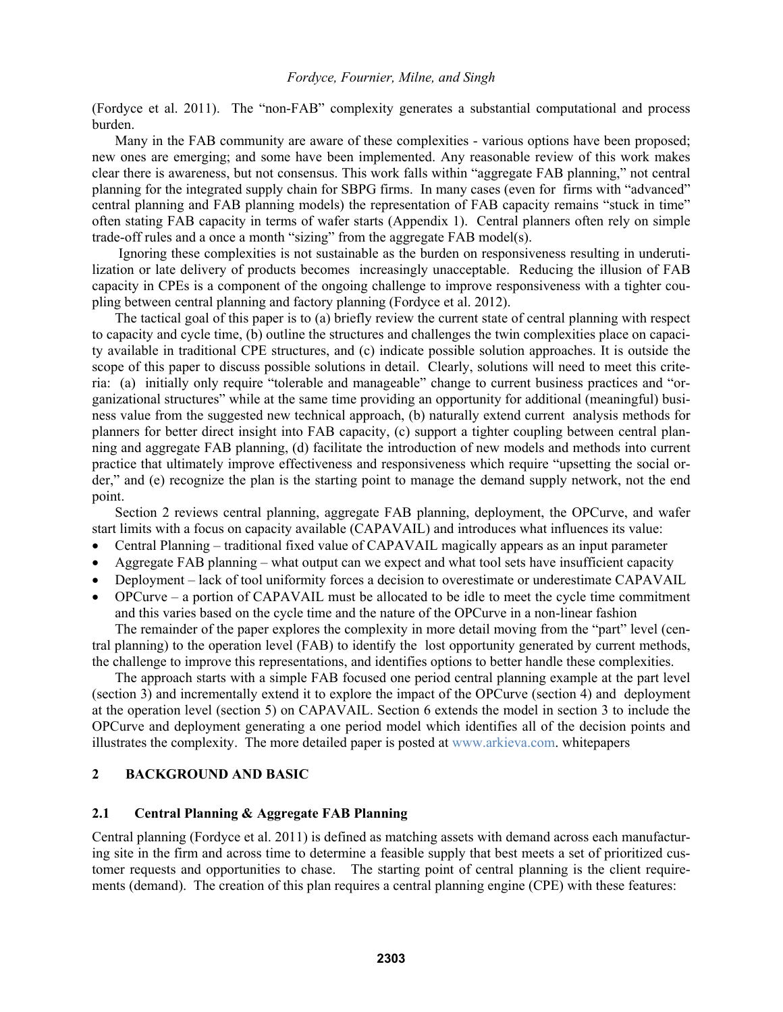(Fordyce et al. 2011). The "non-FAB" complexity generates a substantial computational and process burden.

Many in the FAB community are aware of these complexities - various options have been proposed; new ones are emerging; and some have been implemented. Any reasonable review of this work makes clear there is awareness, but not consensus. This work falls within "aggregate FAB planning," not central planning for the integrated supply chain for SBPG firms. In many cases (even for firms with "advanced" central planning and FAB planning models) the representation of FAB capacity remains "stuck in time" often stating FAB capacity in terms of wafer starts (Appendix 1). Central planners often rely on simple trade-off rules and a once a month "sizing" from the aggregate FAB model(s).

 Ignoring these complexities is not sustainable as the burden on responsiveness resulting in underutilization or late delivery of products becomes increasingly unacceptable. Reducing the illusion of FAB capacity in CPEs is a component of the ongoing challenge to improve responsiveness with a tighter coupling between central planning and factory planning (Fordyce et al. 2012).

The tactical goal of this paper is to (a) briefly review the current state of central planning with respect to capacity and cycle time, (b) outline the structures and challenges the twin complexities place on capacity available in traditional CPE structures, and (c) indicate possible solution approaches. It is outside the scope of this paper to discuss possible solutions in detail. Clearly, solutions will need to meet this criteria: (a) initially only require "tolerable and manageable" change to current business practices and "organizational structures" while at the same time providing an opportunity for additional (meaningful) business value from the suggested new technical approach, (b) naturally extend current analysis methods for planners for better direct insight into FAB capacity, (c) support a tighter coupling between central planning and aggregate FAB planning, (d) facilitate the introduction of new models and methods into current practice that ultimately improve effectiveness and responsiveness which require "upsetting the social order," and (e) recognize the plan is the starting point to manage the demand supply network, not the end point.

Section 2 reviews central planning, aggregate FAB planning, deployment, the OPCurve, and wafer start limits with a focus on capacity available (CAPAVAIL) and introduces what influences its value:

- Central Planning traditional fixed value of CAPAVAIL magically appears as an input parameter
- Aggregate FAB planning what output can we expect and what tool sets have insufficient capacity
- Deployment lack of tool uniformity forces a decision to overestimate or underestimate CAPAVAIL
- OPCurve a portion of CAPAVAIL must be allocated to be idle to meet the cycle time commitment and this varies based on the cycle time and the nature of the OPCurve in a non-linear fashion

 The remainder of the paper explores the complexity in more detail moving from the "part" level (central planning) to the operation level (FAB) to identify the lost opportunity generated by current methods, the challenge to improve this representations, and identifies options to better handle these complexities.

 The approach starts with a simple FAB focused one period central planning example at the part level (section 3) and incrementally extend it to explore the impact of the OPCurve (section 4) and deployment at the operation level (section 5) on CAPAVAIL. Section 6 extends the model in section 3 to include the OPCurve and deployment generating a one period model which identifies all of the decision points and illustrates the complexity. The more detailed paper is posted at www.arkieva.com. whitepapers

### **2 BACKGROUND AND BASIC**

#### **2.1 Central Planning & Aggregate FAB Planning**

Central planning (Fordyce et al. 2011) is defined as matching assets with demand across each manufacturing site in the firm and across time to determine a feasible supply that best meets a set of prioritized customer requests and opportunities to chase. The starting point of central planning is the client requirements (demand). The creation of this plan requires a central planning engine (CPE) with these features: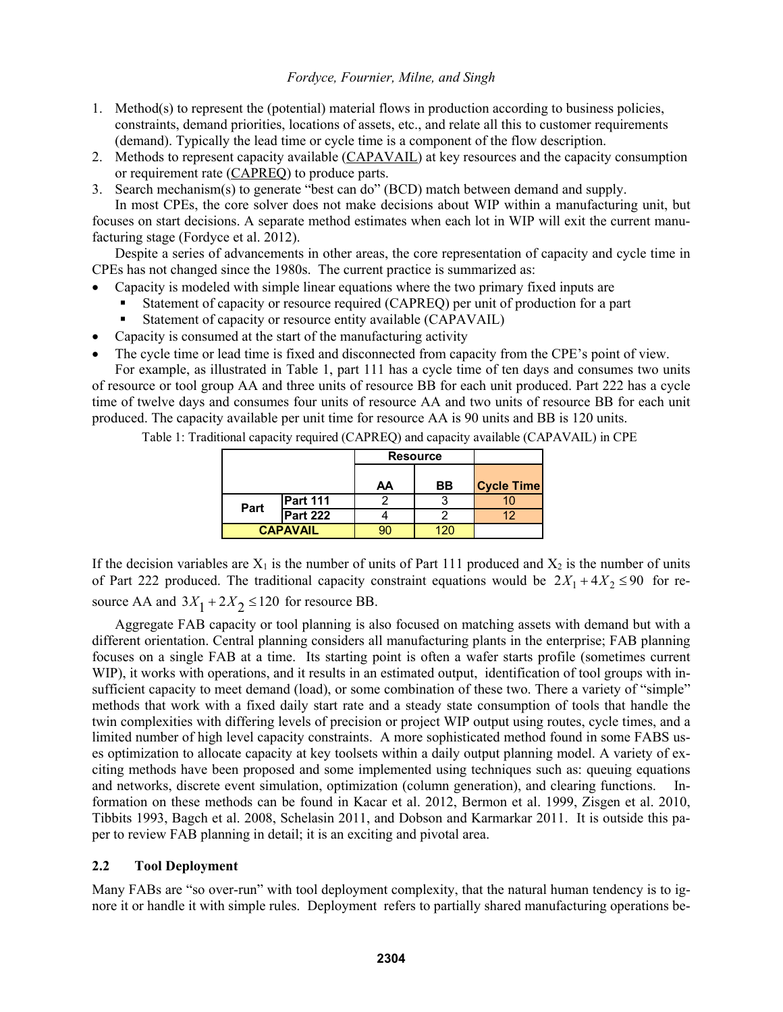- 1. Method(s) to represent the (potential) material flows in production according to business policies, constraints, demand priorities, locations of assets, etc., and relate all this to customer requirements (demand). Typically the lead time or cycle time is a component of the flow description.
- 2. Methods to represent capacity available (CAPAVAIL) at key resources and the capacity consumption or requirement rate (CAPREQ) to produce parts.
- 3. Search mechanism(s) to generate "best can do" (BCD) match between demand and supply.

 In most CPEs, the core solver does not make decisions about WIP within a manufacturing unit, but focuses on start decisions. A separate method estimates when each lot in WIP will exit the current manufacturing stage (Fordyce et al. 2012).

 Despite a series of advancements in other areas, the core representation of capacity and cycle time in CPEs has not changed since the 1980s. The current practice is summarized as:

- Capacity is modeled with simple linear equations where the two primary fixed inputs are
	- Statement of capacity or resource required (CAPREQ) per unit of production for a part
	- Statement of capacity or resource entity available (CAPAVAIL)
- Capacity is consumed at the start of the manufacturing activity
- The cycle time or lead time is fixed and disconnected from capacity from the CPE's point of view.

 For example, as illustrated in Table 1, part 111 has a cycle time of ten days and consumes two units of resource or tool group AA and three units of resource BB for each unit produced. Part 222 has a cycle time of twelve days and consumes four units of resource AA and two units of resource BB for each unit produced. The capacity available per unit time for resource AA is 90 units and BB is 120 units.

|                 |                 | <b>Resource</b> |     |                   |
|-----------------|-----------------|-----------------|-----|-------------------|
|                 |                 | АΑ              | ВB  | <b>Cycle Time</b> |
|                 | <b>Part 111</b> |                 |     |                   |
| Part            | Part 222        |                 |     | 12.               |
| <b>CAPAVAIL</b> |                 |                 | 120 |                   |

Table 1: Traditional capacity required (CAPREQ) and capacity available (CAPAVAIL) in CPE

If the decision variables are  $X_1$  is the number of units of Part 111 produced and  $X_2$  is the number of units of Part 222 produced. The traditional capacity constraint equations would be  $2X_1 + 4X_2 \le 90$  for resource AA and  $3X_1 + 2X_2 \le 120$  for resource BB.

Aggregate FAB capacity or tool planning is also focused on matching assets with demand but with a different orientation. Central planning considers all manufacturing plants in the enterprise; FAB planning focuses on a single FAB at a time. Its starting point is often a wafer starts profile (sometimes current WIP), it works with operations, and it results in an estimated output, identification of tool groups with insufficient capacity to meet demand (load), or some combination of these two. There a variety of "simple" methods that work with a fixed daily start rate and a steady state consumption of tools that handle the twin complexities with differing levels of precision or project WIP output using routes, cycle times, and a limited number of high level capacity constraints. A more sophisticated method found in some FABS uses optimization to allocate capacity at key toolsets within a daily output planning model. A variety of exciting methods have been proposed and some implemented using techniques such as: queuing equations and networks, discrete event simulation, optimization (column generation), and clearing functions. formation on these methods can be found in Kacar et al. 2012, Bermon et al. 1999, Zisgen et al. 2010, Tibbits 1993, Bagch et al. 2008, Schelasin 2011, and Dobson and Karmarkar 2011. It is outside this paper to review FAB planning in detail; it is an exciting and pivotal area.

### **2.2 Tool Deployment**

Many FABs are "so over-run" with tool deployment complexity, that the natural human tendency is to ignore it or handle it with simple rules. Deployment refers to partially shared manufacturing operations be-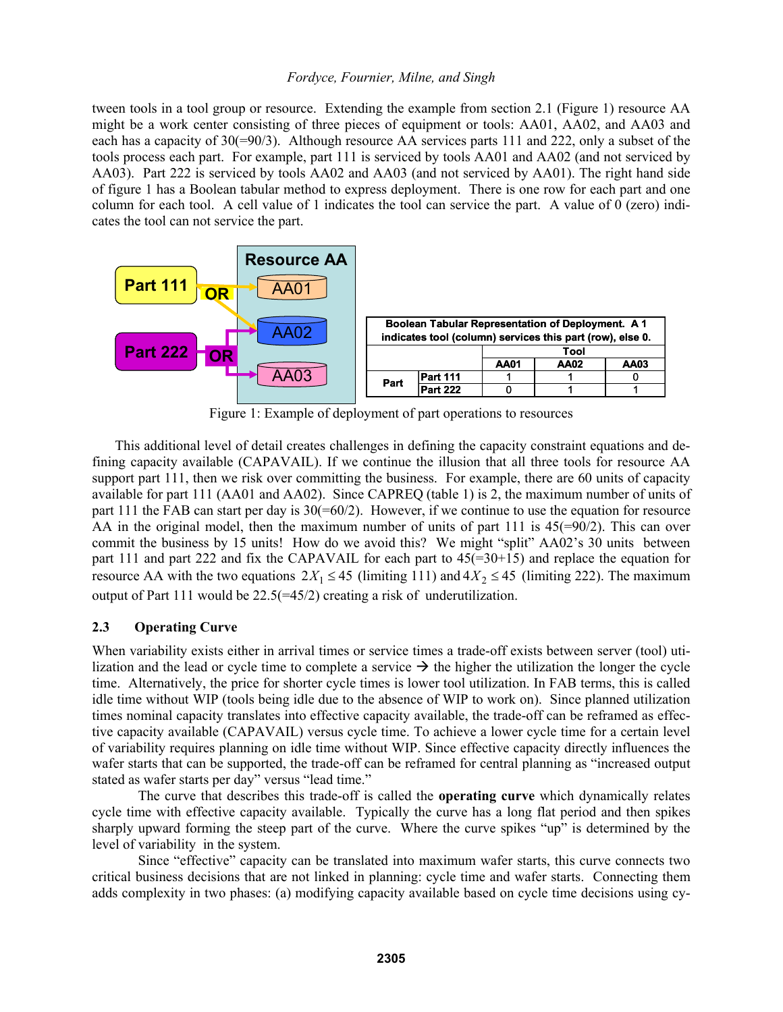tween tools in a tool group or resource. Extending the example from section 2.1 (Figure 1) resource AA might be a work center consisting of three pieces of equipment or tools: AA01, AA02, and AA03 and each has a capacity of 30(=90/3). Although resource AA services parts 111 and 222, only a subset of the tools process each part. For example, part 111 is serviced by tools AA01 and AA02 (and not serviced by AA03). Part 222 is serviced by tools AA02 and AA03 (and not serviced by AA01). The right hand side of figure 1 has a Boolean tabular method to express deployment. There is one row for each part and one column for each tool. A cell value of 1 indicates the tool can service the part. A value of 0 (zero) indicates the tool can not service the part.



Figure 1: Example of deployment of part operations to resources

This additional level of detail creates challenges in defining the capacity constraint equations and defining capacity available (CAPAVAIL). If we continue the illusion that all three tools for resource AA support part 111, then we risk over committing the business. For example, there are 60 units of capacity available for part 111 (AA01 and AA02). Since CAPREQ (table 1) is 2, the maximum number of units of part 111 the FAB can start per day is  $30(=60/2)$ . However, if we continue to use the equation for resource AA in the original model, then the maximum number of units of part  $111$  is  $45(=90/2)$ . This can over commit the business by 15 units! How do we avoid this? We might "split" AA02's 30 units between part 111 and part 222 and fix the CAPAVAIL for each part to 45(=30+15) and replace the equation for resource AA with the two equations  $2X_1 \le 45$  (limiting 111) and  $4X_2 \le 45$  (limiting 222). The maximum output of Part 111 would be 22.5(=45/2) creating a risk of underutilization.

### **2.3 Operating Curve**

When variability exists either in arrival times or service times a trade-off exists between server (tool) utilization and the lead or cycle time to complete a service  $\rightarrow$  the higher the utilization the longer the cycle time. Alternatively, the price for shorter cycle times is lower tool utilization. In FAB terms, this is called idle time without WIP (tools being idle due to the absence of WIP to work on). Since planned utilization times nominal capacity translates into effective capacity available, the trade-off can be reframed as effective capacity available (CAPAVAIL) versus cycle time. To achieve a lower cycle time for a certain level of variability requires planning on idle time without WIP. Since effective capacity directly influences the wafer starts that can be supported, the trade-off can be reframed for central planning as "increased output stated as wafer starts per day" versus "lead time."

 The curve that describes this trade-off is called the **operating curve** which dynamically relates cycle time with effective capacity available. Typically the curve has a long flat period and then spikes sharply upward forming the steep part of the curve. Where the curve spikes "up" is determined by the level of variability in the system.

Since "effective" capacity can be translated into maximum wafer starts, this curve connects two critical business decisions that are not linked in planning: cycle time and wafer starts. Connecting them adds complexity in two phases: (a) modifying capacity available based on cycle time decisions using cy-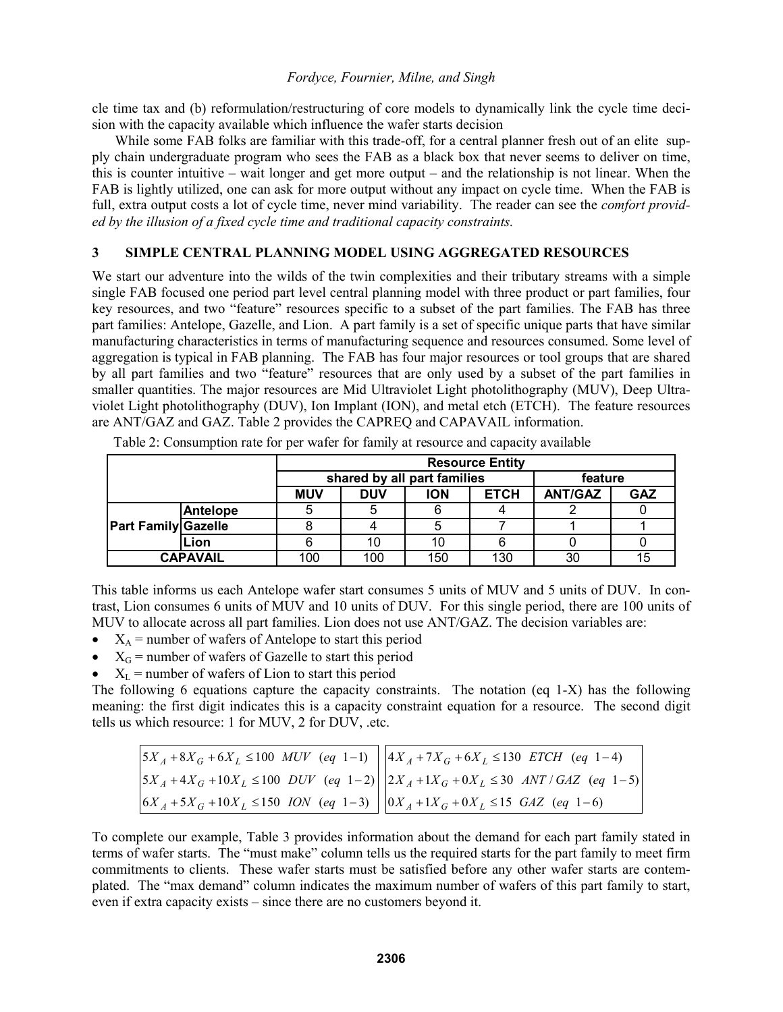cle time tax and (b) reformulation/restructuring of core models to dynamically link the cycle time decision with the capacity available which influence the wafer starts decision

While some FAB folks are familiar with this trade-off, for a central planner fresh out of an elite supply chain undergraduate program who sees the FAB as a black box that never seems to deliver on time, this is counter intuitive – wait longer and get more output – and the relationship is not linear. When the FAB is lightly utilized, one can ask for more output without any impact on cycle time. When the FAB is full, extra output costs a lot of cycle time, never mind variability. The reader can see the *comfort provided by the illusion of a fixed cycle time and traditional capacity constraints.* 

# **3 SIMPLE CENTRAL PLANNING MODEL USING AGGREGATED RESOURCES**

We start our adventure into the wilds of the twin complexities and their tributary streams with a simple single FAB focused one period part level central planning model with three product or part families, four key resources, and two "feature" resources specific to a subset of the part families. The FAB has three part families: Antelope, Gazelle, and Lion. A part family is a set of specific unique parts that have similar manufacturing characteristics in terms of manufacturing sequence and resources consumed. Some level of aggregation is typical in FAB planning. The FAB has four major resources or tool groups that are shared by all part families and two "feature" resources that are only used by a subset of the part families in smaller quantities. The major resources are Mid Ultraviolet Light photolithography (MUV), Deep Ultraviolet Light photolithography (DUV), Ion Implant (ION), and metal etch (ETCH). The feature resources are ANT/GAZ and GAZ. Table 2 provides the CAPREQ and CAPAVAIL information.

|                            |                 | <b>Resource Entity</b> |                             |            |             |                |            |  |  |  |
|----------------------------|-----------------|------------------------|-----------------------------|------------|-------------|----------------|------------|--|--|--|
|                            |                 |                        | shared by all part families | feature    |             |                |            |  |  |  |
|                            |                 | <b>MUV</b>             | <b>DUV</b>                  | <b>ION</b> | <b>ETCH</b> | <b>ANT/GAZ</b> | <b>GAZ</b> |  |  |  |
| <b>Part Family Gazelle</b> | <b>Antelope</b> | 5                      |                             |            |             |                |            |  |  |  |
|                            |                 | 8                      |                             |            |             |                |            |  |  |  |
|                            | Lion            | 6                      | 10                          | 10         | 6           |                |            |  |  |  |
| <b>CAPAVAIL</b>            |                 | 100                    | 100                         | 150        | 130         | 30             | 15         |  |  |  |

Table 2: Consumption rate for per wafer for family at resource and capacity available

This table informs us each Antelope wafer start consumes 5 units of MUV and 5 units of DUV. In contrast, Lion consumes 6 units of MUV and 10 units of DUV. For this single period, there are 100 units of MUV to allocate across all part families. Lion does not use ANT/GAZ. The decision variables are:

- $X_A$  = number of wafers of Antelope to start this period
- $\bullet$   $X_G$  = number of wafers of Gazelle to start this period
- $X_L$  = number of wafers of Lion to start this period

The following 6 equations capture the capacity constraints. The notation (eq 1-X) has the following meaning: the first digit indicates this is a capacity constraint equation for a resource. The second digit tells us which resource: 1 for MUV, 2 for DUV, .etc.

|                                                                                                                   | $5X_A + 8X_G + 6X_L \le 100$ MUV (eq 1-1) $\left  4X_A + 7X_G + 6X_L \le 130$ ETCH (eq 1-4)                                           |
|-------------------------------------------------------------------------------------------------------------------|---------------------------------------------------------------------------------------------------------------------------------------|
|                                                                                                                   | $\left 5X_A + 4X_G + 10X_L \le 100 \text{ DUV} \right  (eq \ 1-2) \left 2X_A + 1X_G + 0X_L \le 30 \text{ ANT}/GAZ \right  (eq \ 1-5)$ |
| $\left  6X_A + 5X_G + 10X_L \le 150 \right $ ION (eq 1-3) $\left  0X_A + 1X_G + 0X_L \le 15 \right $ GAZ (eq 1-6) |                                                                                                                                       |

To complete our example, Table 3 provides information about the demand for each part family stated in terms of wafer starts. The "must make" column tells us the required starts for the part family to meet firm commitments to clients. These wafer starts must be satisfied before any other wafer starts are contemplated. The "max demand" column indicates the maximum number of wafers of this part family to start, even if extra capacity exists – since there are no customers beyond it.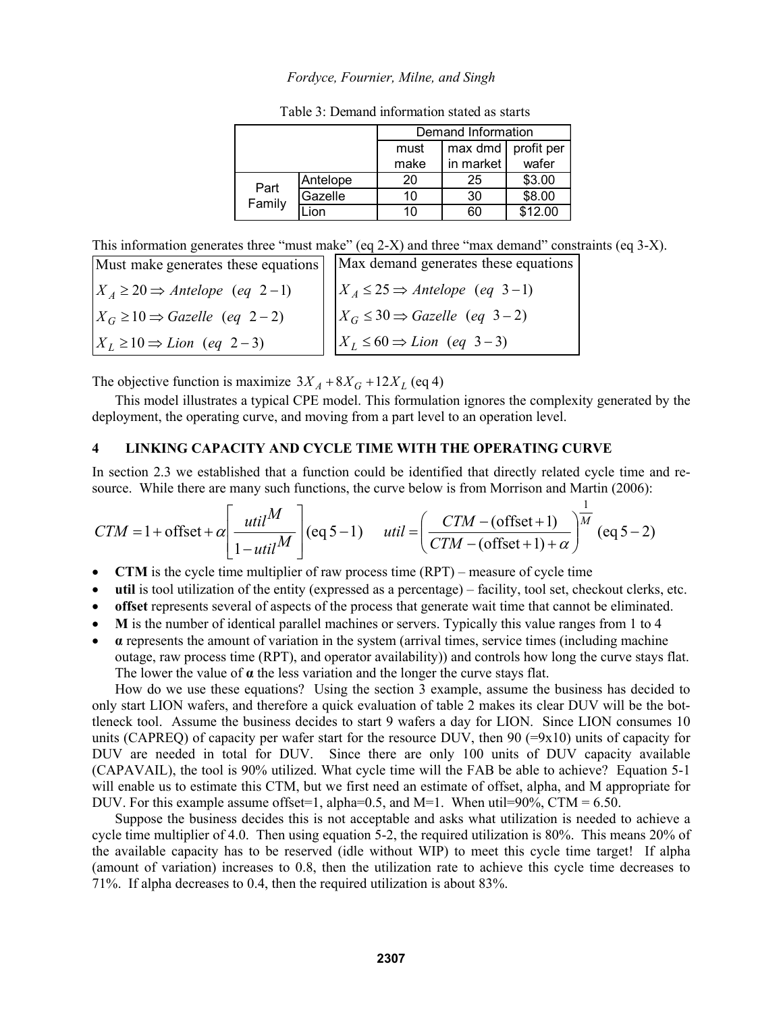|        |          | Demand Information |           |            |  |
|--------|----------|--------------------|-----------|------------|--|
|        |          | must               | max dmd   | profit per |  |
|        |          | make               | in market | wafer      |  |
| Part   | Antelope | 20                 | 25        | \$3.00     |  |
|        | Gazelle  | 10                 | 30        | \$8.00     |  |
| Family |          | 10                 |           | \$12.00    |  |

Table 3: Demand information stated as starts

This information generates three "must make" (eq 2-X) and three "max demand" constraints (eq 3-X).

|                                            | Must make generates these equations   Max demand generates these equations |
|--------------------------------------------|----------------------------------------------------------------------------|
| $X_A \ge 20 \Rightarrow$ Antelope (eq 2-1) | $ X_A \le 25 \Rightarrow$ Antelope (eq 3-1)                                |
| $X_G \ge 10 \Rightarrow$ Gazelle (eq 2-2)  | $\left  \right  X_G \leq 30 \Rightarrow$ Gazelle (eq 3-2)                  |
| $X_L \ge 10 \Rightarrow Lion$ (eq 2-3)     | $X_L \leq 60 \Rightarrow Lion \text{ (eq 3-3)}$                            |

The objective function is maximize  $3X_A + 8X_G + 12X_L$  (eq 4)

 This model illustrates a typical CPE model. This formulation ignores the complexity generated by the deployment, the operating curve, and moving from a part level to an operation level.

#### **4 LINKING CAPACITY AND CYCLE TIME WITH THE OPERATING CURVE**

In section 2.3 we established that a function could be identified that directly related cycle time and resource. While there are many such functions, the curve below is from Morrison and Martin (2006):

$$
CTM = 1 + \text{offset} + \alpha \left[ \frac{util^M}{1 - util^M} \right] (eq 5 - 1) \quad \text{util} = \left( \frac{CTM - (\text{offset} + 1)}{CTM - (\text{offset} + 1) + \alpha} \right)^{\frac{1}{M}} (eq 5 - 2)
$$

- **CTM** is the cycle time multiplier of raw process time (RPT) measure of cycle time
- **util** is tool utilization of the entity (expressed as a percentage) facility, tool set, checkout clerks, etc.
- **offset** represents several of aspects of the process that generate wait time that cannot be eliminated.
- **M** is the number of identical parallel machines or servers. Typically this value ranges from 1 to 4
- **α** represents the amount of variation in the system (arrival times, service times (including machine outage, raw process time (RPT), and operator availability)) and controls how long the curve stays flat. The lower the value of  $\alpha$  the less variation and the longer the curve stays flat.

 How do we use these equations? Using the section 3 example, assume the business has decided to only start LION wafers, and therefore a quick evaluation of table 2 makes its clear DUV will be the bottleneck tool. Assume the business decides to start 9 wafers a day for LION. Since LION consumes 10 units (CAPREQ) of capacity per wafer start for the resource DUV, then  $90$  (= $9x10$ ) units of capacity for DUV are needed in total for DUV. Since there are only 100 units of DUV capacity available (CAPAVAIL), the tool is 90% utilized. What cycle time will the FAB be able to achieve? Equation 5-1 will enable us to estimate this CTM, but we first need an estimate of offset, alpha, and M appropriate for DUV. For this example assume offset=1, alpha=0.5, and M=1. When util=90%, CTM =  $6.50$ .

 Suppose the business decides this is not acceptable and asks what utilization is needed to achieve a cycle time multiplier of 4.0. Then using equation 5-2, the required utilization is 80%. This means 20% of the available capacity has to be reserved (idle without WIP) to meet this cycle time target! If alpha (amount of variation) increases to 0.8, then the utilization rate to achieve this cycle time decreases to 71%. If alpha decreases to 0.4, then the required utilization is about 83%.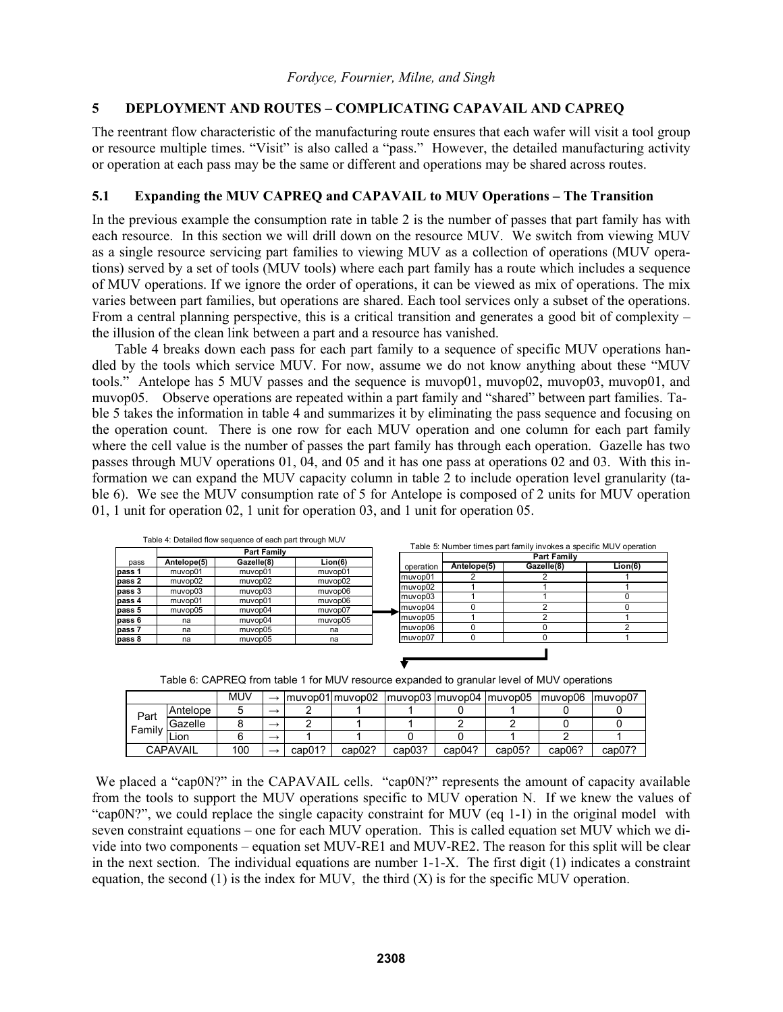# **5 DEPLOYMENT AND ROUTES – COMPLICATING CAPAVAIL AND CAPREQ**

The reentrant flow characteristic of the manufacturing route ensures that each wafer will visit a tool group or resource multiple times. "Visit" is also called a "pass." However, the detailed manufacturing activity or operation at each pass may be the same or different and operations may be shared across routes.

### **5.1 Expanding the MUV CAPREQ and CAPAVAIL to MUV Operations – The Transition**

In the previous example the consumption rate in table 2 is the number of passes that part family has with each resource. In this section we will drill down on the resource MUV. We switch from viewing MUV as a single resource servicing part families to viewing MUV as a collection of operations (MUV operations) served by a set of tools (MUV tools) where each part family has a route which includes a sequence of MUV operations. If we ignore the order of operations, it can be viewed as mix of operations. The mix varies between part families, but operations are shared. Each tool services only a subset of the operations. From a central planning perspective, this is a critical transition and generates a good bit of complexity – the illusion of the clean link between a part and a resource has vanished.

Table 4 breaks down each pass for each part family to a sequence of specific MUV operations handled by the tools which service MUV. For now, assume we do not know anything about these "MUV tools." Antelope has 5 MUV passes and the sequence is muvop01, muvop02, muvop03, muvop01, and muvop05. Observe operations are repeated within a part family and "shared" between part families. Table 5 takes the information in table 4 and summarizes it by eliminating the pass sequence and focusing on the operation count. There is one row for each MUV operation and one column for each part family where the cell value is the number of passes the part family has through each operation. Gazelle has two passes through MUV operations 01, 04, and 05 and it has one pass at operations 02 and 03. With this information we can expand the MUV capacity column in table 2 to include operation level granularity (table 6). We see the MUV consumption rate of 5 for Antelope is composed of 2 units for MUV operation 01, 1 unit for operation 02, 1 unit for operation 03, and 1 unit for operation 05.

|        |             | Table 4: Detailed flow sequence of each part through MUV |         |           |             | Table 5: Number times part family invokes a specific MUV opera |         |
|--------|-------------|----------------------------------------------------------|---------|-----------|-------------|----------------------------------------------------------------|---------|
|        |             | <b>Part Family</b>                                       |         |           |             | <b>Part Family</b>                                             |         |
| pass   | Antelope(5) | Gazelle(8)                                               | Lion(6) | operation | Antelope(5) | Gazelle(8)                                                     | Lion(6) |
| pass 1 | muvop01     | muvop01                                                  | muvop01 |           |             |                                                                |         |
| pass 2 | muvop02     | muvop02                                                  | muvop02 | muvop01   |             |                                                                |         |
| pass 3 | muvop03     | muvop03                                                  | muvop06 | muvop02   |             |                                                                |         |
| pass 4 | muvop01     | muvop01                                                  | muvop06 | muvop03   |             |                                                                |         |
| pass 5 | muvop05     | muvop04                                                  | muvop07 | muvop04   |             |                                                                |         |
| pass 6 | na          | muvop04                                                  | muvop05 | muvop05   |             |                                                                |         |
| pass 7 | na          | muvop05                                                  | na      | muvop06   |             |                                                                |         |
| pass 8 | na          | muvop05                                                  | na      | muvop07   |             |                                                                |         |

|           | Table 5: Number times part family invokes a specific MUV operation |                    |         |  |  |  |  |  |  |
|-----------|--------------------------------------------------------------------|--------------------|---------|--|--|--|--|--|--|
|           |                                                                    | <b>Part Family</b> |         |  |  |  |  |  |  |
| operation | Antelope(5)                                                        | Gazelle(8)         | Lion(6) |  |  |  |  |  |  |
| muvop01   |                                                                    |                    |         |  |  |  |  |  |  |
| muvop02   |                                                                    |                    |         |  |  |  |  |  |  |
| muvop03   |                                                                    |                    |         |  |  |  |  |  |  |
| muvop04   |                                                                    |                    |         |  |  |  |  |  |  |
| muvop05   |                                                                    | ົ                  |         |  |  |  |  |  |  |
| muvop06   |                                                                    |                    |         |  |  |  |  |  |  |
| muvop07   |                                                                    |                    |         |  |  |  |  |  |  |
|           |                                                                    |                    |         |  |  |  |  |  |  |

Table 6: CAPREQ from table 1 for MUV resource expanded to granular level of MUV operations

|                 |          | <b>MUV</b> |        | muvop01 muvop02 |        | muvop03 muvop04 muvop05 |        | muvop06 | muvop07 |
|-----------------|----------|------------|--------|-----------------|--------|-------------------------|--------|---------|---------|
| Part            | Antelope |            |        |                 |        |                         |        |         |         |
|                 | Gazelle  |            |        |                 |        |                         |        |         |         |
| Family          | Lion     |            |        |                 |        |                         |        |         |         |
| <b>CAPAVAIL</b> |          | 100        | cap01? | cap02?          | cap03? | cap04?                  | cap05? | cap06?  | cap07?  |

We placed a "cap0N?" in the CAPAVAIL cells. "cap0N?" represents the amount of capacity available from the tools to support the MUV operations specific to MUV operation N. If we knew the values of "cap0N?", we could replace the single capacity constraint for MUV (eq 1-1) in the original model with seven constraint equations – one for each MUV operation. This is called equation set MUV which we divide into two components – equation set MUV-RE1 and MUV-RE2. The reason for this split will be clear in the next section. The individual equations are number 1-1-X. The first digit (1) indicates a constraint equation, the second  $(1)$  is the index for MUV, the third  $(X)$  is for the specific MUV operation.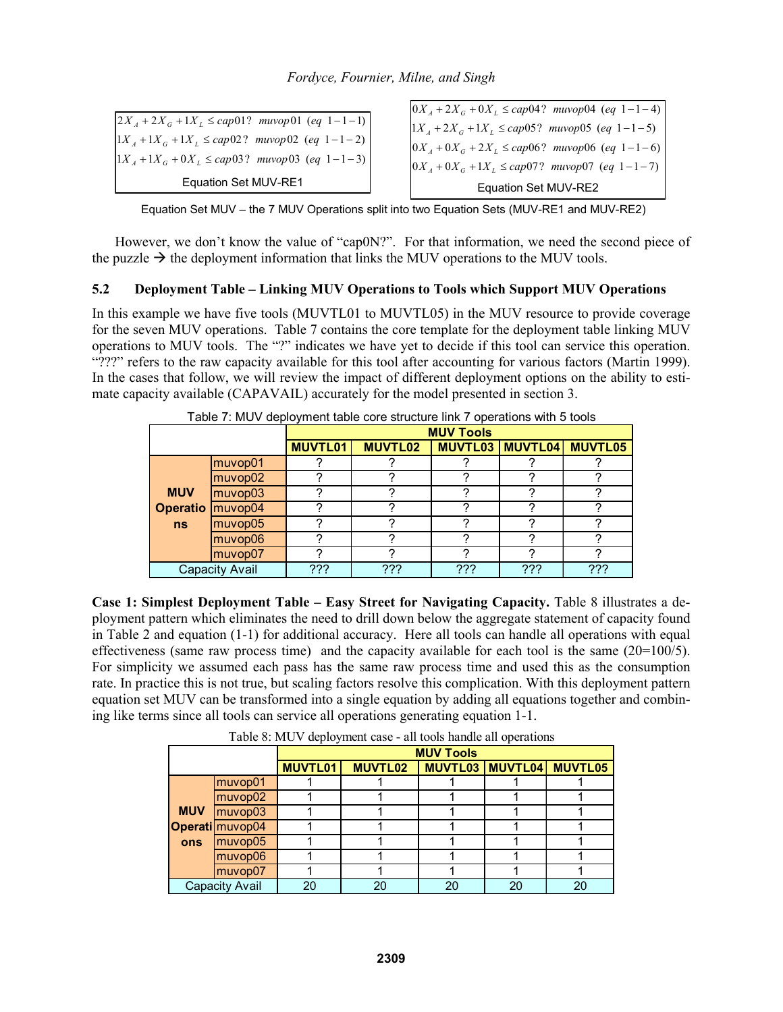|                                                              | $[0X_A + 2X_G + 0X_L]$   |
|--------------------------------------------------------------|--------------------------|
| $2X_A + 2X_G + 1X_L \leq cap01$ ? muvop01 (eq 1-1-1)         | $1X_A + 2X_G + 1X_L \le$ |
| $\left 1X_A + 1X_G + 1X_L \leq cap02$ ? muvop 02 (eq 1-1-2)  | $0X_A + 0X_G + 2X_L$     |
| $\left  1X_A + 1X_G + 0X_L \leq cap03$ ? muvop 03 (eq 1-1-3) | $0X_A + 0X_G + 1X_L$     |
| Equation Set MUV-RE1                                         |                          |
|                                                              |                          |

 $0 X_A + 0 X_C + 1 X_L \leq cap07$ ? muvop07 (eq 1-1-7)  $0 X_A + 0 X_G + 2 X_L \leq cap06$ ? muvop06 (eq 1-1-6)  $1X_A + 2X_G + 1X_L \leq cap05$ ? muvop05 (eq 1-1-5)  $0 X_A + 2 X_C + 0 X_L \leq cap04$ ? muvop04 (eq 1-1-4) Equation Set MUV-RE2

Equation Set MUV – the 7 MUV Operations split into two Equation Sets (MUV-RE1 and MUV-RE2)

However, we don't know the value of "cap0N?". For that information, we need the second piece of the puzzle  $\rightarrow$  the deployment information that links the MUV operations to the MUV tools.

# **5.2 Deployment Table – Linking MUV Operations to Tools which Support MUV Operations**

In this example we have five tools (MUVTL01 to MUVTL05) in the MUV resource to provide coverage for the seven MUV operations. Table 7 contains the core template for the deployment table linking MUV operations to MUV tools. The "?" indicates we have yet to decide if this tool can service this operation. "???" refers to the raw capacity available for this tool after accounting for various factors (Martin 1999). In the cases that follow, we will review the impact of different deployment options on the ability to estimate capacity available (CAPAVAIL) accurately for the model presented in section 3.

|                  |                | <b>MUV Tools</b> |                |     |     |                         |  |  |  |
|------------------|----------------|------------------|----------------|-----|-----|-------------------------|--|--|--|
|                  |                | <b>MUVTL01</b>   | <b>MUVTL02</b> |     |     | MUVTL03 MUVTL04 MUVTL05 |  |  |  |
|                  | muvop01        |                  |                |     |     |                         |  |  |  |
|                  | muvop02        |                  |                |     |     |                         |  |  |  |
| <b>MUV</b>       | muvop03        |                  |                |     |     |                         |  |  |  |
| Operatio muvop04 |                | ◠                |                |     | ⌒   |                         |  |  |  |
| ns               | muvop05        | ົ                |                |     |     |                         |  |  |  |
|                  | muvop06        | ົ                |                |     |     |                         |  |  |  |
|                  | muvop07        | ⌒                |                |     | ົ   |                         |  |  |  |
|                  | Capacity Avail | ???              | ???            | ??? | ??? | ???                     |  |  |  |

Table 7: MUV deployment table core structure link 7 operations with 5 tools

**Case 1: Simplest Deployment Table – Easy Street for Navigating Capacity.** Table 8 illustrates a deployment pattern which eliminates the need to drill down below the aggregate statement of capacity found in Table 2 and equation (1-1) for additional accuracy. Here all tools can handle all operations with equal effectiveness (same raw process time) and the capacity available for each tool is the same  $(20=100/5)$ . For simplicity we assumed each pass has the same raw process time and used this as the consumption rate. In practice this is not true, but scaling factors resolve this complication. With this deployment pattern equation set MUV can be transformed into a single equation by adding all equations together and combining like terms since all tools can service all operations generating equation 1-1.

|                | Twore of MOV approximent case and tools named an operations |                  |                |                 |    |                |  |  |  |  |
|----------------|-------------------------------------------------------------|------------------|----------------|-----------------|----|----------------|--|--|--|--|
|                |                                                             | <b>MUV Tools</b> |                |                 |    |                |  |  |  |  |
|                |                                                             | MUVTL01          | <b>MUVTL02</b> | MUVTL03 MUVTL04 |    | <b>MUVTL05</b> |  |  |  |  |
|                | muvop01                                                     |                  |                |                 |    |                |  |  |  |  |
|                | muvop02                                                     |                  |                |                 |    |                |  |  |  |  |
| <b>MUV</b>     | muvop03                                                     |                  |                |                 |    |                |  |  |  |  |
|                | Operati muvop04                                             |                  |                |                 |    |                |  |  |  |  |
| ons            | muvop05                                                     |                  |                |                 |    |                |  |  |  |  |
|                | muvop06                                                     |                  |                |                 |    |                |  |  |  |  |
|                | muvop07                                                     |                  |                |                 |    |                |  |  |  |  |
| Capacity Avail |                                                             | 20               | 20             | 20              | 20 | 20             |  |  |  |  |

Table  $8:$  MUV deployment case - all tools handle all operations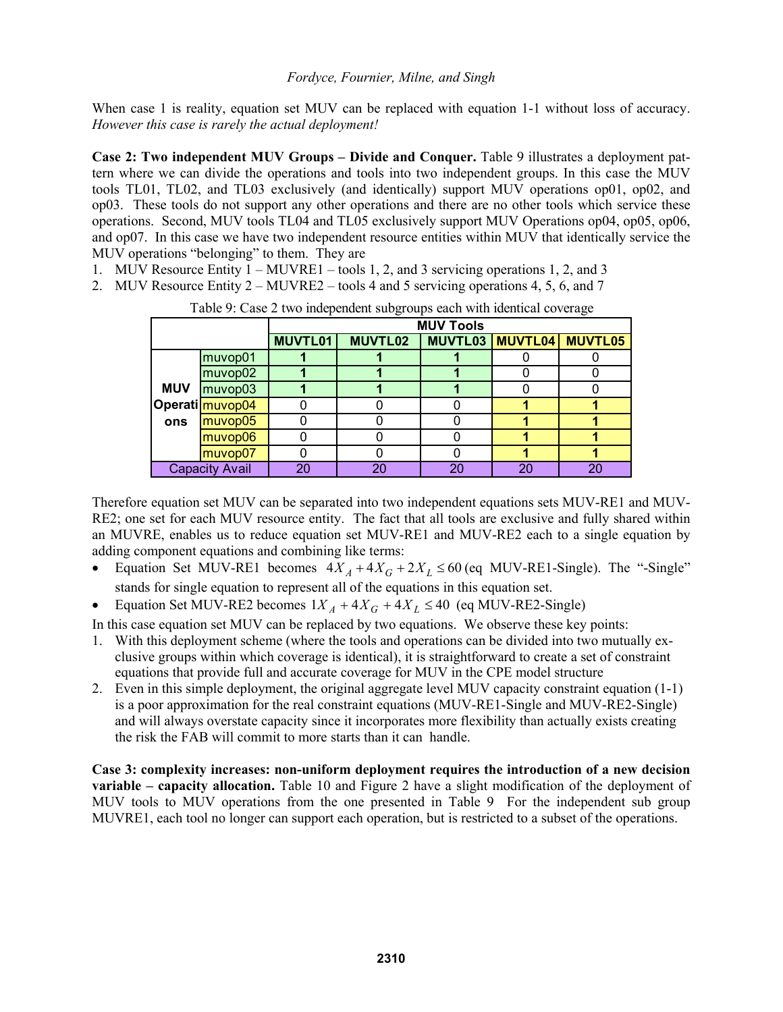When case 1 is reality, equation set MUV can be replaced with equation 1-1 without loss of accuracy. *However this case is rarely the actual deployment!* 

**Case 2: Two independent MUV Groups – Divide and Conquer.** Table 9 illustrates a deployment pattern where we can divide the operations and tools into two independent groups. In this case the MUV tools TL01, TL02, and TL03 exclusively (and identically) support MUV operations op01, op02, and op03. These tools do not support any other operations and there are no other tools which service these operations. Second, MUV tools TL04 and TL05 exclusively support MUV Operations op04, op05, op06, and op07. In this case we have two independent resource entities within MUV that identically service the MUV operations "belonging" to them. They are

- 1. MUV Resource Entity 1 MUVRE1 tools 1, 2, and 3 servicing operations 1, 2, and 3
- 2. MUV Resource Entity 2 MUVRE2 tools 4 and 5 servicing operations 4, 5, 6, and 7

|                       |                 | <b>MUV Tools</b> |         |    |    |                         |  |  |
|-----------------------|-----------------|------------------|---------|----|----|-------------------------|--|--|
|                       |                 | MUVTL01          | MUVTL02 |    |    | MUVTL03 MUVTL04 MUVTL05 |  |  |
|                       | muvop01         |                  |         |    |    |                         |  |  |
|                       | muvop02         |                  |         |    |    |                         |  |  |
| <b>MUV</b>            | muvop03         |                  |         |    |    |                         |  |  |
|                       | Operati muvop04 |                  |         |    |    |                         |  |  |
| ons                   | muvop05         |                  |         |    |    |                         |  |  |
|                       | muvop06         |                  |         |    |    |                         |  |  |
|                       | muvop07         |                  |         |    |    |                         |  |  |
| <b>Capacity Avail</b> |                 | 20               | 20      | 20 | 20 | 20                      |  |  |

Table 9: Case 2 two independent subgroups each with identical coverage

Therefore equation set MUV can be separated into two independent equations sets MUV-RE1 and MUV-RE2; one set for each MUV resource entity. The fact that all tools are exclusive and fully shared within an MUVRE, enables us to reduce equation set MUV-RE1 and MUV-RE2 each to a single equation by adding component equations and combining like terms:

- Equation Set MUV-RE1 becomes  $4X_A + 4X_G + 2X_L \le 60$  (eq MUV-RE1-Single). The "-Single" stands for single equation to represent all of the equations in this equation set.
- Equation Set MUV-RE2 becomes  $1X_A + 4X_G + 4X_L \le 40$  (eq MUV-RE2-Single)

In this case equation set MUV can be replaced by two equations. We observe these key points:

- 1. With this deployment scheme (where the tools and operations can be divided into two mutually exclusive groups within which coverage is identical), it is straightforward to create a set of constraint equations that provide full and accurate coverage for MUV in the CPE model structure
- 2. Even in this simple deployment, the original aggregate level MUV capacity constraint equation (1-1) is a poor approximation for the real constraint equations (MUV-RE1-Single and MUV-RE2-Single) and will always overstate capacity since it incorporates more flexibility than actually exists creating the risk the FAB will commit to more starts than it can handle.

**Case 3: complexity increases: non-uniform deployment requires the introduction of a new decision variable – capacity allocation.** Table 10 and Figure 2 have a slight modification of the deployment of MUV tools to MUV operations from the one presented in Table 9 For the independent sub group MUVRE1, each tool no longer can support each operation, but is restricted to a subset of the operations.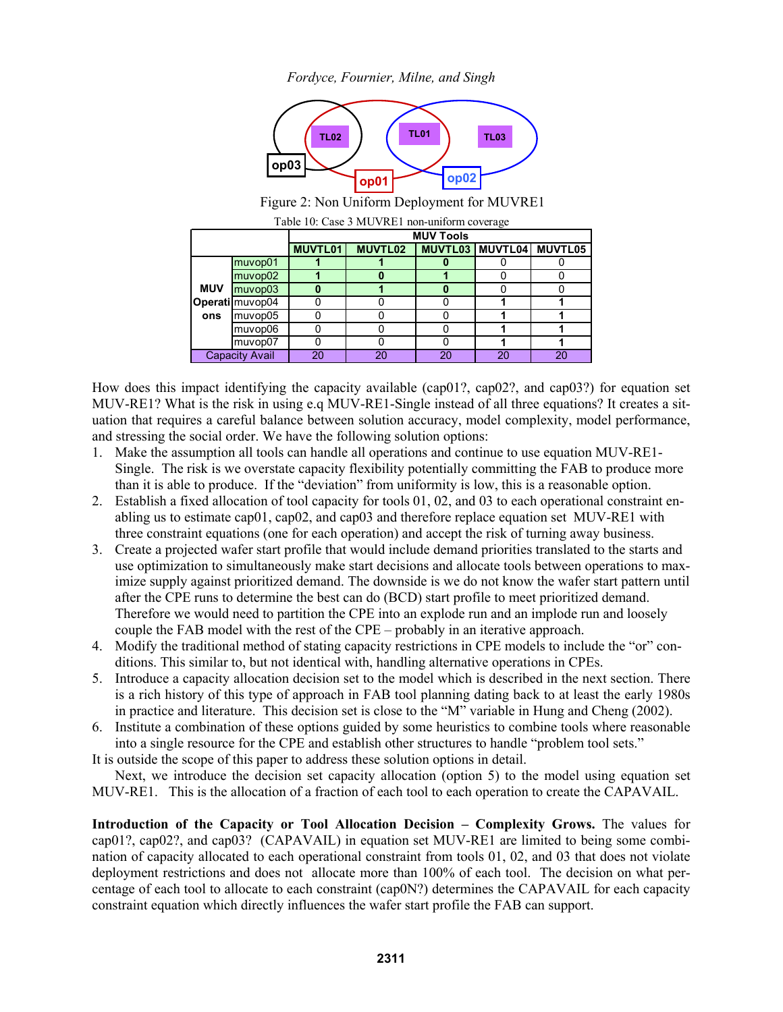*Fordyce, Fournier, Milne, and Singh* 



Figure 2: Non Uniform Deployment for MUVRE1

|  | Table 10: Case 3 MUVRE1 non-uniform coverage |
|--|----------------------------------------------|
|  |                                              |

|            |                       |         |         | <b>MUV Tools</b>        |    |    |
|------------|-----------------------|---------|---------|-------------------------|----|----|
|            |                       | MUVTL01 | MUVTL02 | MUVTL03 MUVTL04 MUVTL05 |    |    |
|            | muvop01               |         |         |                         |    |    |
|            | muvop02               |         |         |                         |    |    |
| <b>MUV</b> | muvop03               |         |         |                         |    |    |
|            | Operati muvop04       |         |         |                         |    |    |
| ons        | muvop05               |         |         |                         |    |    |
|            | muvop06               |         |         |                         |    |    |
|            | muvop07               |         |         |                         |    |    |
|            | <b>Capacity Avail</b> | 20      | 20      | 20                      | 20 | 20 |

How does this impact identifying the capacity available (cap01?, cap02?, and cap03?) for equation set MUV-RE1? What is the risk in using e.q MUV-RE1-Single instead of all three equations? It creates a situation that requires a careful balance between solution accuracy, model complexity, model performance, and stressing the social order. We have the following solution options:

- 1. Make the assumption all tools can handle all operations and continue to use equation MUV-RE1- Single. The risk is we overstate capacity flexibility potentially committing the FAB to produce more than it is able to produce. If the "deviation" from uniformity is low, this is a reasonable option.
- 2. Establish a fixed allocation of tool capacity for tools 01, 02, and 03 to each operational constraint enabling us to estimate cap01, cap02, and cap03 and therefore replace equation set MUV-RE1 with three constraint equations (one for each operation) and accept the risk of turning away business.
- 3. Create a projected wafer start profile that would include demand priorities translated to the starts and use optimization to simultaneously make start decisions and allocate tools between operations to maximize supply against prioritized demand. The downside is we do not know the wafer start pattern until after the CPE runs to determine the best can do (BCD) start profile to meet prioritized demand. Therefore we would need to partition the CPE into an explode run and an implode run and loosely couple the FAB model with the rest of the CPE – probably in an iterative approach.
- 4. Modify the traditional method of stating capacity restrictions in CPE models to include the "or" conditions. This similar to, but not identical with, handling alternative operations in CPEs.
- 5. Introduce a capacity allocation decision set to the model which is described in the next section. There is a rich history of this type of approach in FAB tool planning dating back to at least the early 1980s in practice and literature. This decision set is close to the "M" variable in Hung and Cheng (2002).
- 6. Institute a combination of these options guided by some heuristics to combine tools where reasonable into a single resource for the CPE and establish other structures to handle "problem tool sets."

It is outside the scope of this paper to address these solution options in detail.

 Next, we introduce the decision set capacity allocation (option 5) to the model using equation set MUV-RE1. This is the allocation of a fraction of each tool to each operation to create the CAPAVAIL.

**Introduction of the Capacity or Tool Allocation Decision – Complexity Grows.** The values for cap01?, cap02?, and cap03? (CAPAVAIL) in equation set MUV-RE1 are limited to being some combination of capacity allocated to each operational constraint from tools 01, 02, and 03 that does not violate deployment restrictions and does not allocate more than 100% of each tool. The decision on what percentage of each tool to allocate to each constraint (cap0N?) determines the CAPAVAIL for each capacity constraint equation which directly influences the wafer start profile the FAB can support.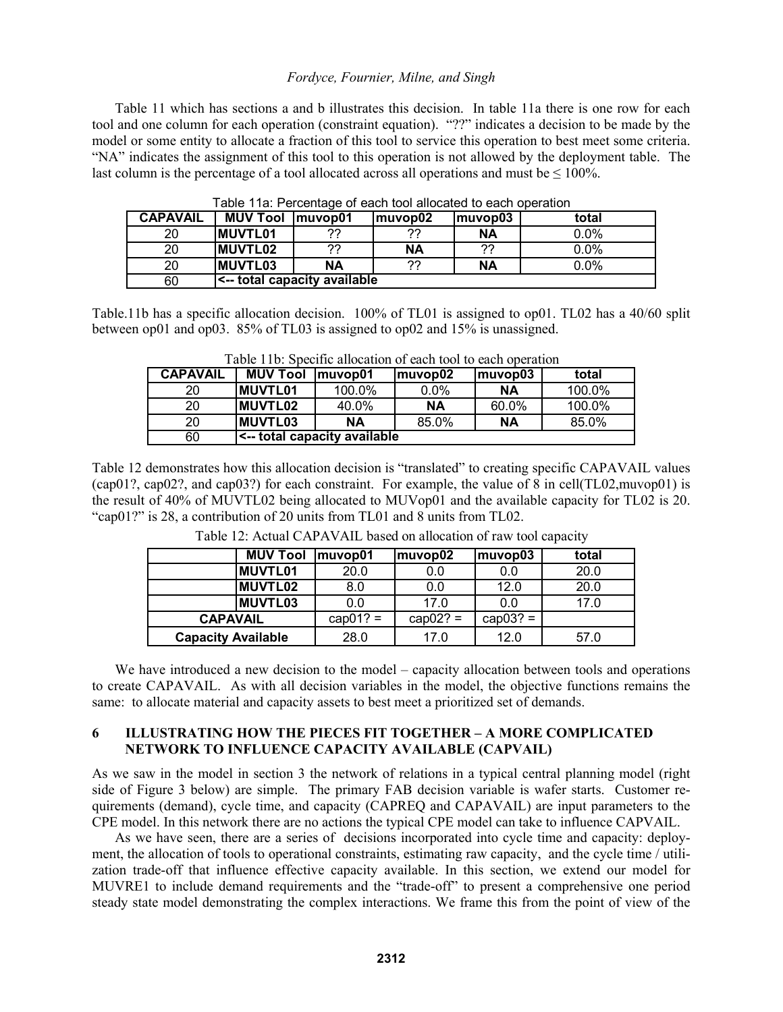Table 11 which has sections a and b illustrates this decision. In table 11a there is one row for each tool and one column for each operation (constraint equation). "??" indicates a decision to be made by the model or some entity to allocate a fraction of this tool to service this operation to best meet some criteria. "NA" indicates the assignment of this tool to this operation is not allowed by the deployment table. The last column is the percentage of a tool allocated across all operations and must be  $\leq 100\%$ .

|                 |                           |                              | able TTa. Felcentage of each tool allocated to each operation |              |         |
|-----------------|---------------------------|------------------------------|---------------------------------------------------------------|--------------|---------|
| <b>CAPAVAIL</b> | <b>MUV Tool   muvop01</b> |                              | muvop02                                                       | $\mu$ uvop03 | total   |
| 20              | <b>IMUVTL01</b>           | 22                           | 77                                                            | <b>NA</b>    | 0.0%    |
| 20              | <b>IMUVTL02</b>           | 22.                          | <b>NA</b>                                                     | ??           | $0.0\%$ |
| 20              | <b>IMUVTL03</b>           | <b>NA</b>                    | ??                                                            | <b>NA</b>    | $0.0\%$ |
| 60              |                           | <-- total capacity available |                                                               |              |         |

Table 11a: Percentage of each tool allocated to each operation

Table.11b has a specific allocation decision. 100% of TL01 is assigned to op01. TL02 has a 40/60 split between op01 and op03. 85% of TL03 is assigned to op02 and 15% is unassigned.

| <b>CAPAVAIL</b> | <b>MUV Tool</b> | Imuvop01                     | $ mu$ vop02 | muvop03   | total  |
|-----------------|-----------------|------------------------------|-------------|-----------|--------|
| 20              | <b>IMUVTL01</b> | 100.0%                       | $0.0\%$     | <b>NA</b> | 100.0% |
| 20              | <b>IMUVTL02</b> | 40.0%                        | NΑ          | 60.0%     | 100.0% |
| 20              | <b>IMUVTL03</b> | ΝA                           | 85.0%       | <b>NA</b> | 85.0%  |
| 60              |                 | <-- total capacity available |             |           |        |

Table 11b: Specific allocation of each tool to each operation

Table 12 demonstrates how this allocation decision is "translated" to creating specific CAPAVAIL values (cap01?, cap02?, and cap03?) for each constraint. For example, the value of 8 in cell(TL02,muvop01) is the result of 40% of MUVTL02 being allocated to MUVop01 and the available capacity for TL02 is 20. "cap01?" is 28, a contribution of 20 units from TL01 and 8 units from TL02.

|                           | <b>MUV Tool   muvop01</b> | muvop02    | muvop03    | total |
|---------------------------|---------------------------|------------|------------|-------|
| <b>IMUVTL01</b>           | 20.0                      | 0.0        | 0.0        | 20.0  |
| <b>IMUVTL02</b>           | 8.0                       | 0.0        | 12.0       | 20.0  |
| <b>IMUVTL03</b>           | 0.0                       | 17.0       | 0.0        | 17.0  |
| <b>CAPAVAIL</b>           | cap01? $=$                | cap02? $=$ | cap03? $=$ |       |
| <b>Capacity Available</b> | 28.0                      | 17.0       | 12.0       | 57.0  |

Table 12: Actual CAPAVAIL based on allocation of raw tool capacity

We have introduced a new decision to the model – capacity allocation between tools and operations to create CAPAVAIL. As with all decision variables in the model, the objective functions remains the same: to allocate material and capacity assets to best meet a prioritized set of demands.

### **6 ILLUSTRATING HOW THE PIECES FIT TOGETHER – A MORE COMPLICATED NETWORK TO INFLUENCE CAPACITY AVAILABLE (CAPVAIL)**

As we saw in the model in section 3 the network of relations in a typical central planning model (right side of Figure 3 below) are simple. The primary FAB decision variable is wafer starts. Customer requirements (demand), cycle time, and capacity (CAPREQ and CAPAVAIL) are input parameters to the CPE model. In this network there are no actions the typical CPE model can take to influence CAPVAIL.

 As we have seen, there are a series of decisions incorporated into cycle time and capacity: deployment, the allocation of tools to operational constraints, estimating raw capacity, and the cycle time / utilization trade-off that influence effective capacity available. In this section, we extend our model for MUVRE1 to include demand requirements and the "trade-off" to present a comprehensive one period steady state model demonstrating the complex interactions. We frame this from the point of view of the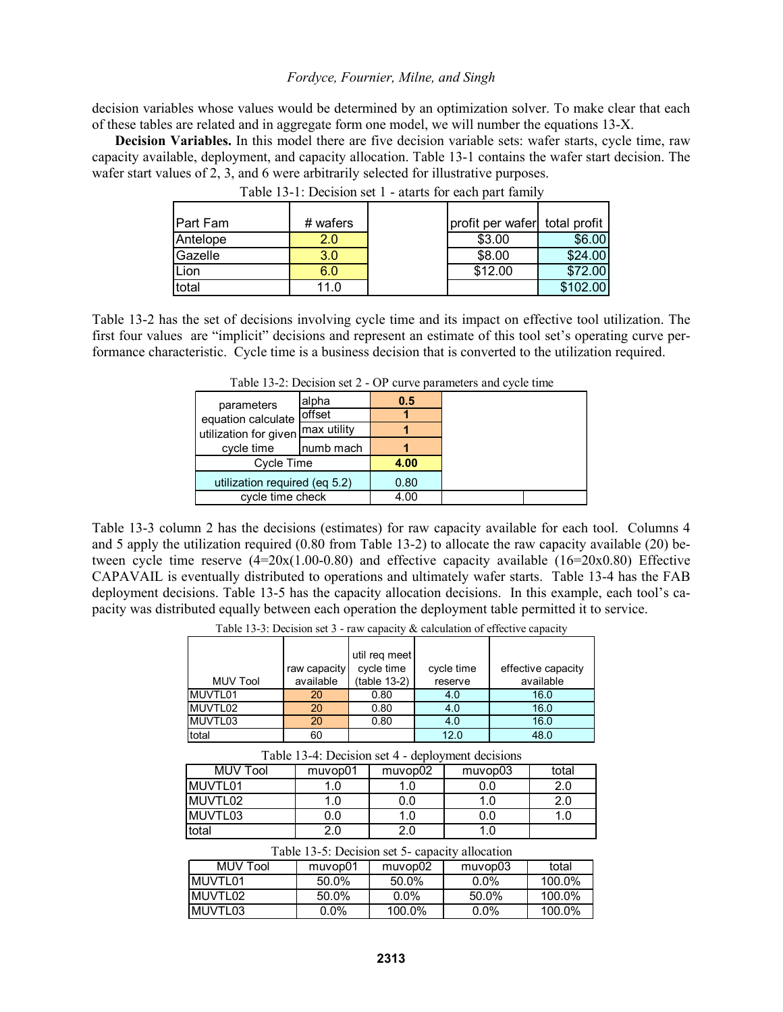decision variables whose values would be determined by an optimization solver. To make clear that each of these tables are related and in aggregate form one model, we will number the equations 13-X.

 **Decision Variables.** In this model there are five decision variable sets: wafer starts, cycle time, raw capacity available, deployment, and capacity allocation. Table 13-1 contains the wafer start decision. The wafer start values of 2, 3, and 6 were arbitrarily selected for illustrative purposes.

| Part Fam | # wafers | profit per wafer total profit |          |
|----------|----------|-------------------------------|----------|
| Antelope | 2.0      | \$3.00                        | \$6.00   |
| Gazelle  | 3.0      | \$8.00                        | \$24.00  |
| Lion     | 6.0      | \$12.00                       | \$72.00  |
| total    | 11.0     |                               | \$102.00 |

| Table 13-1: Decision set 1 - atarts for each part family |  |
|----------------------------------------------------------|--|
|----------------------------------------------------------|--|

Table 13-2 has the set of decisions involving cycle time and its impact on effective tool utilization. The first four values are "implicit" decisions and represent an estimate of this tool set's operating curve performance characteristic. Cycle time is a business decision that is converted to the utilization required.

|                                   |                 |      | $\bullet$ with $\bullet$ power without products $\bullet$ $\bullet$ $\bullet$ $\bullet$ with $\bullet$ |  |
|-----------------------------------|-----------------|------|--------------------------------------------------------------------------------------------------------|--|
| parameters                        | alpha           | 0.5  |                                                                                                        |  |
| equation calculate                | <b>l</b> offset |      |                                                                                                        |  |
| utilization for given max utility |                 |      |                                                                                                        |  |
| cycle time                        | numb mach       |      |                                                                                                        |  |
| <b>Cycle Time</b>                 |                 | 4.00 |                                                                                                        |  |
| utilization required (eq 5.2)     |                 | 0.80 |                                                                                                        |  |
| cycle time check                  |                 | 4.00 |                                                                                                        |  |

Table 13-2: Decision set 2 - OP curve parameters and cycle time

Table 13-3 column 2 has the decisions (estimates) for raw capacity available for each tool. Columns 4 and 5 apply the utilization required (0.80 from Table 13-2) to allocate the raw capacity available (20) between cycle time reserve  $(4=20x(1.00-0.80)$  and effective capacity available  $(16=20x0.80)$  Effective CAPAVAIL is eventually distributed to operations and ultimately wafer starts. Table 13-4 has the FAB deployment decisions. Table 13-5 has the capacity allocation decisions. In this example, each tool's capacity was distributed equally between each operation the deployment table permitted it to service.

|          | raw capacity | util reg meet<br>cycle time | cycle time | effective capacity |
|----------|--------------|-----------------------------|------------|--------------------|
| MUV Tool | available    | (table 13-2)                | reserve    | available          |
| MUVTL01  | 20           | 0.80                        | 4.0        | 16.0               |
| MUVTL02  | 20           | 0.80                        | 4.0        | 16.0               |
| MUVTL03  | 20           | 0.80                        | 4.0        | 16.0               |
| total    | 60           |                             | 12.0       | 48.0               |

|                 |         |         | Table 13-4: Decision set 4 - deployment decisions |       |
|-----------------|---------|---------|---------------------------------------------------|-------|
| <b>MUV Tool</b> | muvop01 | muvop02 | muvop03                                           | total |
| MUVTL01         | 1.0     | 1.0     | 0.0                                               | 2.0   |
| MUVTL02         | 1.0     | 0.0     | 1.0                                               | 2.0   |
| MUVTL03         | 0.0     | 1.0     | 0.0                                               |       |
| total           | 2 በ     | 2 O     |                                                   |       |

| Table 13-5: Decision set 5- capacity allocation |
|-------------------------------------------------|
|-------------------------------------------------|

| <b>MUV Tool</b> | muvop01 | muvop02 | muvop03 | total  |  |  |
|-----------------|---------|---------|---------|--------|--|--|
| MUVTL01         | 50.0%   | 50.0%   | $0.0\%$ | 100.0% |  |  |
| MUVTL02         | 50.0%   | $0.0\%$ | 50.0%   | 100.0% |  |  |
| MUVTL03         | $0.0\%$ | 100.0%  | $0.0\%$ | 100.0% |  |  |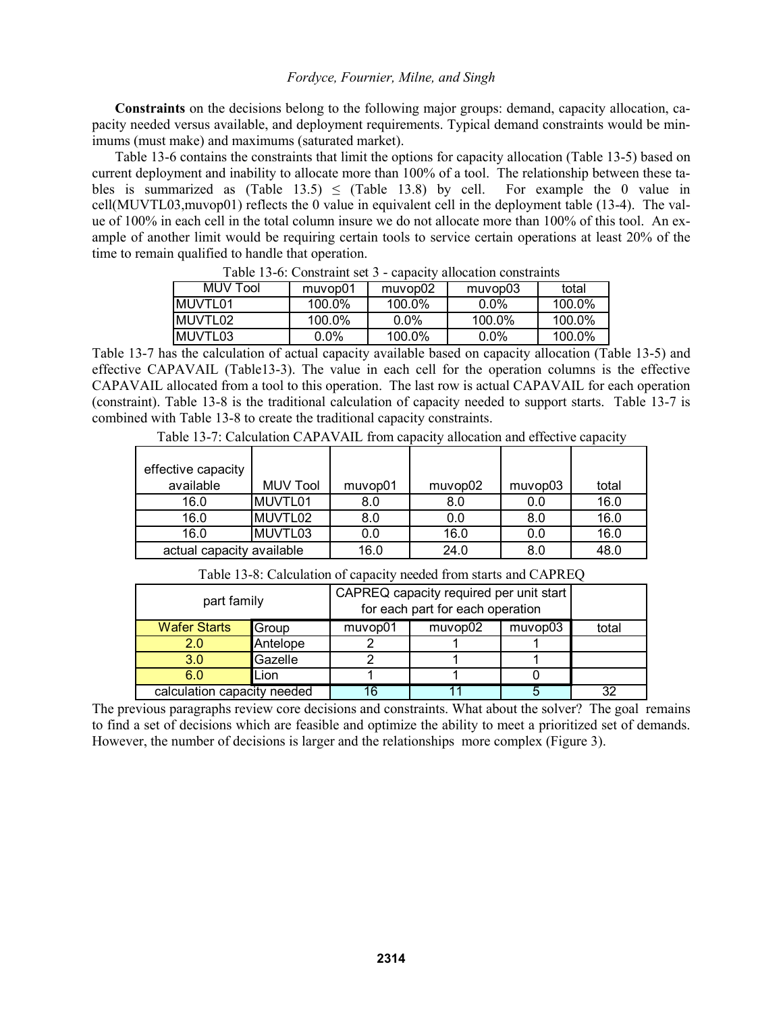**Constraints** on the decisions belong to the following major groups: demand, capacity allocation, capacity needed versus available, and deployment requirements. Typical demand constraints would be minimums (must make) and maximums (saturated market).

 Table 13-6 contains the constraints that limit the options for capacity allocation (Table 13-5) based on current deployment and inability to allocate more than 100% of a tool. The relationship between these tables is summarized as (Table 13.5)  $\le$  (Table 13.8) by cell. For example the 0 value in cell(MUVTL03,muvop01) reflects the 0 value in equivalent cell in the deployment table (13-4). The value of 100% in each cell in the total column insure we do not allocate more than 100% of this tool. An example of another limit would be requiring certain tools to service certain operations at least 20% of the time to remain qualified to handle that operation.

| Tuolo 19 o. Constitutti set 9<br>capacity anocation constraints |         |         |         |        |  |
|-----------------------------------------------------------------|---------|---------|---------|--------|--|
| <b>MUV Tool</b>                                                 | muvop01 | muvop02 | muvop03 | total  |  |
| <b>MUVTL01</b>                                                  | 100.0%  | 100.0%  | $0.0\%$ | 100.0% |  |
| MUVTL02                                                         | 100.0%  | $0.0\%$ | 100.0%  | 100.0% |  |
| MUVTL03                                                         | $0.0\%$ | 100.0%  | $0.0\%$ | 100.0% |  |

Table 13-6: Constraint set 3 - capacity allocation constraints

Table 13-7 has the calculation of actual capacity available based on capacity allocation (Table 13-5) and effective CAPAVAIL (Table13-3). The value in each cell for the operation columns is the effective CAPAVAIL allocated from a tool to this operation. The last row is actual CAPAVAIL for each operation (constraint). Table 13-8 is the traditional calculation of capacity needed to support starts. Table 13-7 is combined with Table 13-8 to create the traditional capacity constraints.

Table 13-7: Calculation CAPAVAIL from capacity allocation and effective capacity

| effective capacity        |          |         |         |         |       |
|---------------------------|----------|---------|---------|---------|-------|
| available                 | MUV Tool | muvop01 | muvop02 | muvop03 | total |
| 16.0                      | MUVTL01  | 8.0     | 8.0     | 0.0     | 16.0  |
| 16.0                      | MUVTL02  | 8.0     | 0.0     | 8.0     | 16.0  |
| 16.0                      | MUVTL03  | 0.0     | 16.0    | 0.0     | 16.0  |
| actual capacity available |          | 16.0    | 24.0    | 8.0     | 48.0  |

| - WOIV ID OI OWIVWINDII OI VWDWYIV! IIVYWYW IIOIII DWI W WIIW OI II IILD O |          |                                                                             |         |         |       |
|----------------------------------------------------------------------------|----------|-----------------------------------------------------------------------------|---------|---------|-------|
| part family                                                                |          | CAPREQ capacity required per unit start<br>for each part for each operation |         |         |       |
| <b>Wafer Starts</b>                                                        | Group    | muvop01                                                                     | muvop02 | muvop03 | total |
| 2.0                                                                        | Antelope |                                                                             |         |         |       |
| 3.0                                                                        | Gazelle  |                                                                             |         |         |       |
| 6.0                                                                        | Lion     |                                                                             |         |         |       |
| calculation capacity needed                                                |          |                                                                             |         |         | 32    |

Table 13-8: Calculation of capacity needed from starts and CAPREQ

The previous paragraphs review core decisions and constraints. What about the solver? The goal remains to find a set of decisions which are feasible and optimize the ability to meet a prioritized set of demands. However, the number of decisions is larger and the relationships more complex (Figure 3).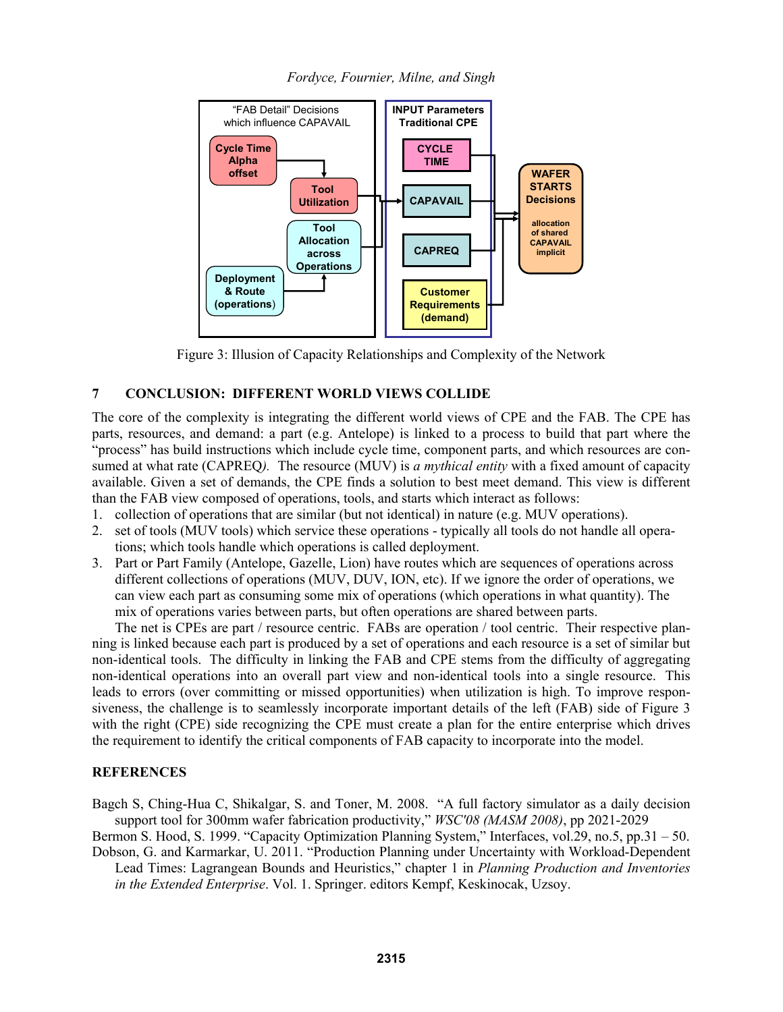

*Fordyce, Fournier, Milne, and Singh* 

Figure 3: Illusion of Capacity Relationships and Complexity of the Network

# **7 CONCLUSION: DIFFERENT WORLD VIEWS COLLIDE**

The core of the complexity is integrating the different world views of CPE and the FAB. The CPE has parts, resources, and demand: a part (e.g. Antelope) is linked to a process to build that part where the "process" has build instructions which include cycle time, component parts, and which resources are consumed at what rate (CAPREQ). The resource (MUV) is *a mythical entity* with a fixed amount of capacity available. Given a set of demands, the CPE finds a solution to best meet demand. This view is different than the FAB view composed of operations, tools, and starts which interact as follows:

- 1. collection of operations that are similar (but not identical) in nature (e.g. MUV operations).
- 2. set of tools (MUV tools) which service these operations typically all tools do not handle all operations; which tools handle which operations is called deployment.
- 3. Part or Part Family (Antelope, Gazelle, Lion) have routes which are sequences of operations across different collections of operations (MUV, DUV, ION, etc). If we ignore the order of operations, we can view each part as consuming some mix of operations (which operations in what quantity). The mix of operations varies between parts, but often operations are shared between parts.

 The net is CPEs are part / resource centric. FABs are operation / tool centric. Their respective planning is linked because each part is produced by a set of operations and each resource is a set of similar but non-identical tools. The difficulty in linking the FAB and CPE stems from the difficulty of aggregating non-identical operations into an overall part view and non-identical tools into a single resource. This leads to errors (over committing or missed opportunities) when utilization is high. To improve responsiveness, the challenge is to seamlessly incorporate important details of the left (FAB) side of Figure 3 with the right (CPE) side recognizing the CPE must create a plan for the entire enterprise which drives the requirement to identify the critical components of FAB capacity to incorporate into the model.

# **REFERENCES**

Bagch S, Ching-Hua C, Shikalgar, S. and Toner, M. 2008. "A full factory simulator as a daily decision support tool for 300mm wafer fabrication productivity," *WSC'08 (MASM 2008)*, pp 2021-2029

Bermon S. Hood, S. 1999. "Capacity Optimization Planning System," Interfaces, vol.29, no.5, pp.31 – 50. Dobson, G. and Karmarkar, U. 2011. "Production Planning under Uncertainty with Workload-Dependent Lead Times: Lagrangean Bounds and Heuristics," chapter 1 in *Planning Production and Inventories in the Extended Enterprise*. Vol. 1. Springer. editors Kempf, Keskinocak, Uzsoy.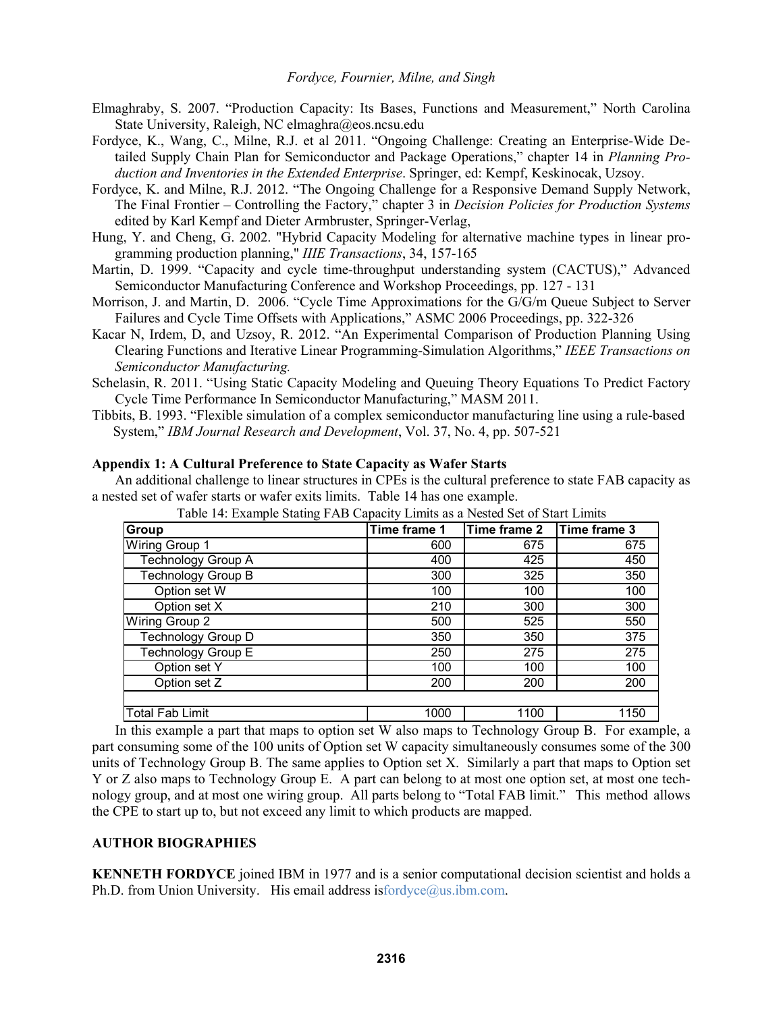- Elmaghraby, S. 2007. "Production Capacity: Its Bases, Functions and Measurement," North Carolina State University, Raleigh, NC elmaghra@eos.ncsu.edu
- Fordyce, K., Wang, C., Milne, R.J. et al 2011. "Ongoing Challenge: Creating an Enterprise-Wide Detailed Supply Chain Plan for Semiconductor and Package Operations," chapter 14 in *Planning Production and Inventories in the Extended Enterprise*. Springer, ed: Kempf, Keskinocak, Uzsoy.
- Fordyce, K. and Milne, R.J. 2012. "The Ongoing Challenge for a Responsive Demand Supply Network, The Final Frontier – Controlling the Factory," chapter 3 in *Decision Policies for Production Systems* edited by Karl Kempf and Dieter Armbruster, Springer-Verlag,
- Hung, Y. and Cheng, G. 2002. "Hybrid Capacity Modeling for alternative machine types in linear programming production planning," *IIIE Transactions*, 34, 157-165
- Martin, D. 1999. "Capacity and cycle time-throughput understanding system (CACTUS)," Advanced Semiconductor Manufacturing Conference and Workshop Proceedings, pp. 127 - 131
- Morrison, J. and Martin, D. 2006. "Cycle Time Approximations for the G/G/m Queue Subject to Server Failures and Cycle Time Offsets with Applications," ASMC 2006 Proceedings, pp. 322-326
- Kacar N, Irdem, D, and Uzsoy, R. 2012. "An Experimental Comparison of Production Planning Using Clearing Functions and Iterative Linear Programming-Simulation Algorithms," *IEEE Transactions on Semiconductor Manufacturing.*
- Schelasin, R. 2011. "Using Static Capacity Modeling and Queuing Theory Equations To Predict Factory Cycle Time Performance In Semiconductor Manufacturing," MASM 2011.
- Tibbits, B. 1993. "Flexible simulation of a complex semiconductor manufacturing line using a rule-based System," *IBM Journal Research and Development*, Vol. 37, No. 4, pp. 507-521

# **Group Time frame 1 Time frame 2 Time frame 3** Wiring Group 1 600 675 675 Technology Group A and the set of the 400 and 425 450 and 450 and 450 and 450 and 450 and 450 and 450 and 450  $\pm$ Technology Group B and Contact Technology Group B and Contact 1 300 1 325 Option set W 100 100 100 Option set X 210 210 300 300 300 Wiring Group 2 550 550 525 550 Technology Group D 350 375 Technology Group E 275 275 Option set Y 100 100 100 100 100 100 100 Option set Z 200 200 200 Total Fab Limit 1000 1100 1100 11150

# **Appendix 1: A Cultural Preference to State Capacity as Wafer Starts**

 An additional challenge to linear structures in CPEs is the cultural preference to state FAB capacity as a nested set of wafer starts or wafer exits limits. Table 14 has one example.

Table 14: Example Stating FAB Capacity Limits as a Nested Set of Start Limits

 In this example a part that maps to option set W also maps to Technology Group B. For example, a part consuming some of the 100 units of Option set W capacity simultaneously consumes some of the 300 units of Technology Group B. The same applies to Option set X. Similarly a part that maps to Option set Y or Z also maps to Technology Group E. A part can belong to at most one option set, at most one technology group, and at most one wiring group. All parts belong to "Total FAB limit." This method allows the CPE to start up to, but not exceed any limit to which products are mapped.

# **AUTHOR BIOGRAPHIES**

**KENNETH FORDYCE** joined IBM in 1977 and is a senior computational decision scientist and holds a Ph.D. from Union University. His email address is for dyce  $@$ us.ibm.com.